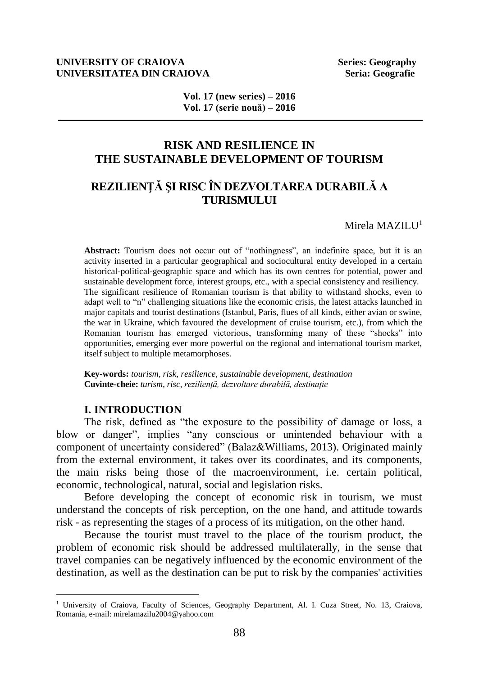#### **UNIVERSITY OF CRAIOVA Series: Geography UNIVERSITATEA DIN CRAIOVA Seria: Geografie Seria: Geografie**

**Vol. 17 (new series) – 2016 Vol. 17 (serie nouă) – 2016**

## **RISK AND RESILIENCE IN THE SUSTAINABLE DEVELOPMENT OF TOURISM**

# **REZILIENŢĂ ŞI RISC ÎN DEZVOLTAREA DURABILĂ A TURISMULUI**

Mirela MAZIL $I<sup>1</sup>$ 

**Abstract:** Tourism does not occur out of "nothingness", an indefinite space, but it is an activity inserted in a particular geographical and sociocultural entity developed in a certain historical-political-geographic space and which has its own centres for potential, power and sustainable development force, interest groups, etc., with a special consistency and resiliency. The significant resilience of Romanian tourism is that ability to withstand shocks, even to adapt well to "n" challenging situations like the economic crisis, the latest attacks launched in major capitals and tourist destinations (Istanbul, Paris, flues of all kinds, either avian or swine, the war in Ukraine, which favoured the development of cruise tourism, etc.), from which the Romanian tourism has emerged victorious, transforming many of these "shocks" into opportunities, emerging ever more powerful on the regional and international tourism market, itself subject to multiple metamorphoses.

**Key-words:** *tourism, risk, resilience, sustainable development, destination* **Cuvinte-cheie:** *turism, risc, reziliență, dezvoltare durabilă, destinație*

#### **I. INTRODUCTION**

 $\overline{a}$ 

The risk, defined as "the exposure to the possibility of damage or loss, a blow or danger", implies "any conscious or unintended behaviour with a component of uncertainty considered" (Balaz&Williams, 2013). Originated mainly from the external environment, it takes over its coordinates, and its components, the main risks being those of the macroenvironment, i.e. certain political, economic, technological, natural, social and legislation risks.

Before developing the concept of economic risk in tourism, we must understand the concepts of risk perception, on the one hand, and attitude towards risk - as representing the stages of a process of its mitigation, on the other hand.

Because the tourist must travel to the place of the tourism product, the problem of economic risk should be addressed multilaterally, in the sense that travel companies can be negatively influenced by the economic environment of the destination, as well as the destination can be put to risk by the companies' activities

<sup>&</sup>lt;sup>1</sup> University of Craiova, Faculty of Sciences, Geography Department, Al. I. Cuza Street, No. 13, Craiova, Romania, e-mail: [mirelamazilu2004@yahoo.com](mailto:mirelamazilu2004@yahoo.com)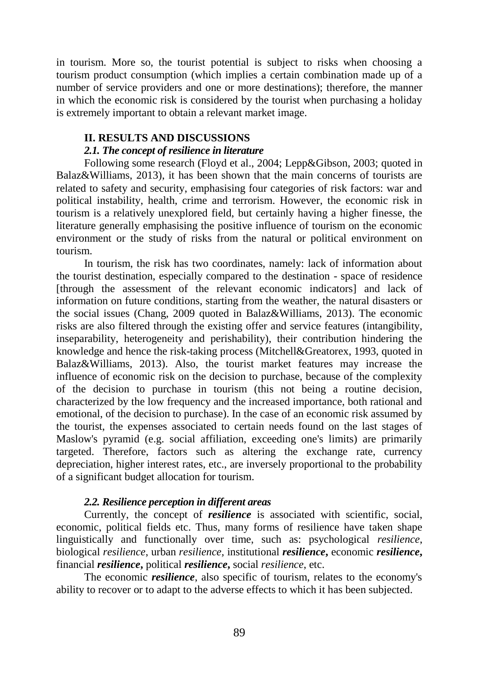in tourism. More so, the tourist potential is subject to risks when choosing a tourism product consumption (which implies a certain combination made up of a number of service providers and one or more destinations); therefore, the manner in which the economic risk is considered by the tourist when purchasing a holiday is extremely important to obtain a relevant market image.

### **II. RESULTS AND DISCUSSIONS**

### *2.1. The concept of resilience in literature*

Following some research (Floyd et al., 2004; Lepp&Gibson, 2003; quoted in Balaz&Williams, 2013), it has been shown that the main concerns of tourists are related to safety and security, emphasising four categories of risk factors: war and political instability, health, crime and terrorism. However, the economic risk in tourism is a relatively unexplored field, but certainly having a higher finesse, the literature generally emphasising the positive influence of tourism on the economic environment or the study of risks from the natural or political environment on tourism.

In tourism, the risk has two coordinates, namely: lack of information about the tourist destination, especially compared to the destination - space of residence [through the assessment of the relevant economic indicators] and lack of information on future conditions, starting from the weather, the natural disasters or the social issues (Chang, 2009 quoted in Balaz&Williams, 2013). The economic risks are also filtered through the existing offer and service features (intangibility, inseparability, heterogeneity and perishability), their contribution hindering the knowledge and hence the risk-taking process (Mitchell&Greatorex, 1993, quoted in Balaz&Williams, 2013). Also, the tourist market features may increase the influence of economic risk on the decision to purchase, because of the complexity of the decision to purchase in tourism (this not being a routine decision, characterized by the low frequency and the increased importance, both rational and emotional, of the decision to purchase). In the case of an economic risk assumed by the tourist, the expenses associated to certain needs found on the last stages of Maslow's pyramid (e.g. social affiliation, exceeding one's limits) are primarily targeted. Therefore, factors such as altering the exchange rate, currency depreciation, higher interest rates, etc., are inversely proportional to the probability of a significant budget allocation for tourism.

### *2.2. Resilience perception in different areas*

Currently, the concept of *resilience* is associated with scientific, social, economic, political fields etc. Thus, many forms of resilience have taken shape linguistically and functionally over time, such as: psychological *resilience*, biological *resilience*, urban *resilience,* institutional *resilience***,** economic *resilience***,** financial *resilience***,** political *resilience***,** social *resilience*, etc.

The economic *resilience*, also specific of tourism, relates to the economy's ability to recover or to adapt to the adverse effects to which it has been subjected.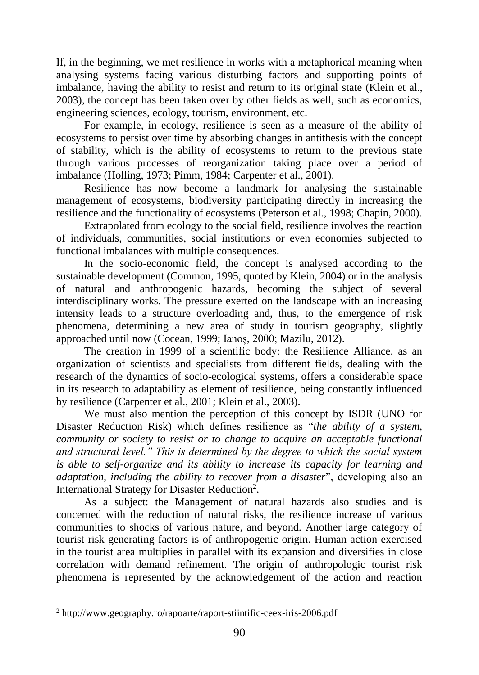If, in the beginning, we met resilience in works with a metaphorical meaning when analysing systems facing various disturbing factors and supporting points of imbalance, having the ability to resist and return to its original state (Klein et al., 2003), the concept has been taken over by other fields as well, such as economics, engineering sciences, ecology, tourism, environment, etc.

For example, in ecology, resilience is seen as a measure of the ability of ecosystems to persist over time by absorbing changes in antithesis with the concept of stability, which is the ability of ecosystems to return to the previous state through various processes of reorganization taking place over a period of imbalance (Holling, 1973; Pimm, 1984; Carpenter et al., 2001).

Resilience has now become a landmark for analysing the sustainable management of ecosystems, biodiversity participating directly in increasing the resilience and the functionality of ecosystems (Peterson et al., 1998; Chapin, 2000).

Extrapolated from ecology to the social field, resilience involves the reaction of individuals, communities, social institutions or even economies subjected to functional imbalances with multiple consequences.

In the socio-economic field, the concept is analysed according to the sustainable development (Common, 1995, quoted by Klein, 2004) or in the analysis of natural and anthropogenic hazards, becoming the subject of several interdisciplinary works. The pressure exerted on the landscape with an increasing intensity leads to a structure overloading and, thus, to the emergence of risk phenomena, determining a new area of study in tourism geography, slightly approached until now (Cocean, 1999; Ianoș, 2000; Mazilu, 2012).

The creation in 1999 of a scientific body: the Resilience Alliance, as an organization of scientists and specialists from different fields, dealing with the research of the dynamics of socio-ecological systems, offers a considerable space in its research to adaptability as element of resilience, being constantly influenced by resilience (Carpenter et al., 2001; Klein et al., 2003).

We must also mention the perception of this concept by ISDR (UNO for Disaster Reduction Risk) which defines resilience as "*the ability of a system, community or society to resist or to change to acquire an acceptable functional and structural level." This is determined by the degree to which the social system is able to self-organize and its ability to increase its capacity for learning and adaptation, including the ability to recover from a disaster*", developing also an International Strategy for Disaster Reduction<sup>2</sup>.

As a subject: the Management of natural hazards also studies and is concerned with the reduction of natural risks, the resilience increase of various communities to shocks of various nature, and beyond. Another large category of tourist risk generating factors is of anthropogenic origin. Human action exercised in the tourist area multiplies in parallel with its expansion and diversifies in close correlation with demand refinement. The origin of anthropologic tourist risk phenomena is represented by the acknowledgement of the action and reaction

 $\overline{a}$ 

<sup>2</sup> http://www.geography.ro/rapoarte/raport-stiintific-ceex-iris-2006.pdf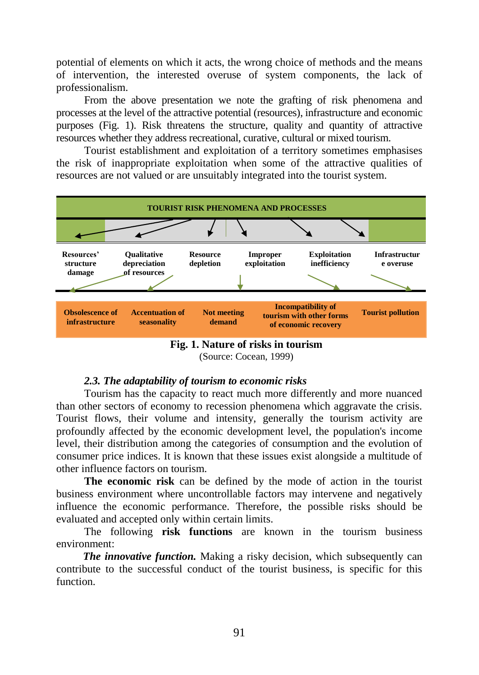potential of elements on which it acts, the wrong choice of methods and the means of intervention, the interested overuse of system components, the lack of professionalism.

From the above presentation we note the grafting of risk phenomena and processes at the level of the attractive potential (resources), infrastructure and economic purposes (Fig. 1). Risk threatens the structure, quality and quantity of attractive resources whether they address recreational, curative, cultural or mixed tourism.

Tourist establishment and exploitation of a territory sometimes emphasises the risk of inappropriate exploitation when some of the attractive qualities of resources are not valued or are unsuitably integrated into the tourist system.





### *2.3. The adaptability of tourism to economic risks*

Tourism has the capacity to react much more differently and more nuanced than other sectors of economy to recession phenomena which aggravate the crisis. Tourist flows, their volume and intensity, generally the tourism activity are profoundly affected by the economic development level, the population's income level, their distribution among the categories of consumption and the evolution of consumer price indices. It is known that these issues exist alongside a multitude of other influence factors on tourism.

**The economic risk** can be defined by the mode of action in the tourist business environment where uncontrollable factors may intervene and negatively influence the economic performance. Therefore, the possible risks should be evaluated and accepted only within certain limits.

The following **risk functions** are known in the tourism business environment:

*The innovative function.* Making a risky decision, which subsequently can contribute to the successful conduct of the tourist business, is specific for this function.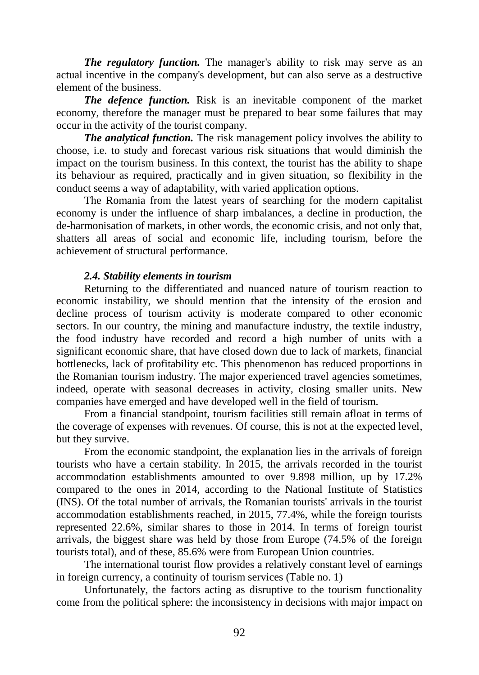*The regulatory function.* The manager's ability to risk may serve as an actual incentive in the company's development, but can also serve as a destructive element of the business.

*The defence function.* Risk is an inevitable component of the market economy, therefore the manager must be prepared to bear some failures that may occur in the activity of the tourist company.

*The analytical function.* The risk management policy involves the ability to choose, i.e. to study and forecast various risk situations that would diminish the impact on the tourism business. In this context, the tourist has the ability to shape its behaviour as required, practically and in given situation, so flexibility in the conduct seems a way of adaptability, with varied application options.

The Romania from the latest years of searching for the modern capitalist economy is under the influence of sharp imbalances, a decline in production, the de-harmonisation of markets, in other words, the economic crisis, and not only that, shatters all areas of social and economic life, including tourism, before the achievement of structural performance.

#### *2.4. Stability elements in tourism*

Returning to the differentiated and nuanced nature of tourism reaction to economic instability, we should mention that the intensity of the erosion and decline process of tourism activity is moderate compared to other economic sectors. In our country, the mining and manufacture industry, the textile industry, the food industry have recorded and record a high number of units with a significant economic share, that have closed down due to lack of markets, financial bottlenecks, lack of profitability etc. This phenomenon has reduced proportions in the Romanian tourism industry. The major experienced travel agencies sometimes, indeed, operate with seasonal decreases in activity, closing smaller units. New companies have emerged and have developed well in the field of tourism.

From a financial standpoint, tourism facilities still remain afloat in terms of the coverage of expenses with revenues. Of course, this is not at the expected level, but they survive.

From the economic standpoint, the explanation lies in the arrivals of foreign tourists who have a certain stability. In 2015, the arrivals recorded in the tourist accommodation establishments amounted to over 9.898 million, up by 17.2% compared to the ones in 2014, according to the National Institute of Statistics (INS). Of the total number of arrivals, the Romanian tourists' arrivals in the tourist accommodation establishments reached, in 2015, 77.4%, while the foreign tourists represented 22.6%, similar shares to those in 2014. In terms of foreign tourist arrivals, the biggest share was held by those from Europe (74.5% of the foreign tourists total), and of these, 85.6% were from European Union countries.

The international tourist flow provides a relatively constant level of earnings in foreign currency, a continuity of tourism services (Table no. 1)

Unfortunately, the factors acting as disruptive to the tourism functionality come from the political sphere: the inconsistency in decisions with major impact on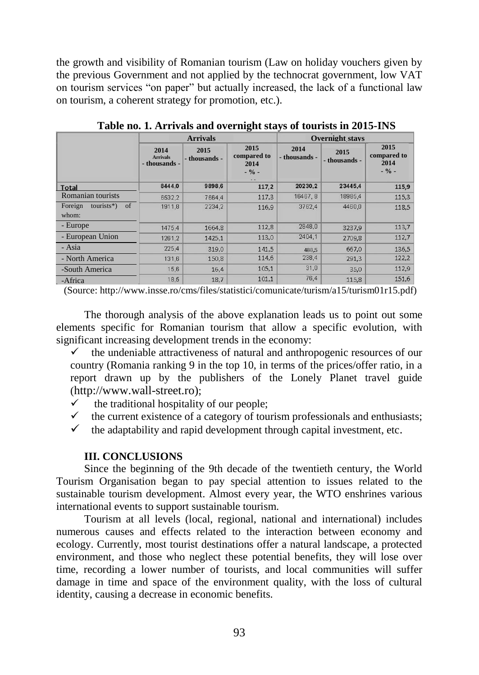the growth and visibility of Romanian tourism (Law on holiday vouchers given by the previous Government and not applied by the technocrat government, low VAT on tourism services "on paper" but actually increased, the lack of a functional law on tourism, a coherent strategy for promotion, etc.).

|                                        | <b>Arrivals</b>                          |                       |                                        | <b>Overnight stavs</b> |                       |                                        |
|----------------------------------------|------------------------------------------|-----------------------|----------------------------------------|------------------------|-----------------------|----------------------------------------|
|                                        | 2014<br><b>Arrivals</b><br>- thousands - | 2015<br>- thousands - | 2015<br>compared to<br>2014<br>$-$ % - | 2014<br>- thousands -  | 2015<br>- thousands - | 2015<br>compared to<br>2014<br>$-$ % - |
| <b>Total</b>                           | 8444.0                                   | 9898,6                | 117,2                                  | 20230.2                | 23445,4               | 115,9                                  |
| Romanian tourists                      | 6532.2                                   | 7664.4                | 117,3                                  | 16467, 8               | 18985,4               | 115.3                                  |
| of<br>$tourists*)$<br>Foreign<br>whom: | 1911.8                                   | 2234.2                | 116.9                                  | 3762.4                 | 4460.0                | 118,5                                  |
| - Europe                               | 1475,4                                   | 1664,8                | 112,8                                  | 2848.0                 | 3237,9                | 113,7                                  |
| - European Union                       | 1261,2                                   | 1425.1                | 113,0                                  | 2404.1                 | 2709.8                | 112,7                                  |
| - Asia                                 | 225.4                                    | 319.0                 | 141.5                                  | 488.5                  | 667.0                 | 136,5                                  |
| - North America                        | 131,6                                    | 150,8                 | 114,6                                  | 238,4                  | 291,3                 | 122,2                                  |
| -South America                         | 15,6                                     | 16,4                  | 105,1                                  | 31,0                   | 35,0                  | 112,9                                  |
| -Africa                                | 18,5                                     | 18.7                  | 101.1                                  | 76.4                   | 115.8                 | 151,6                                  |

**Table no. 1. Arrivals and overnight stays of tourists in 2015-INS**

(Source: http://www.insse.ro/cms/files/statistici/comunicate/turism/a15/turism01r15.pdf)

The thorough analysis of the above explanation leads us to point out some elements specific for Romanian tourism that allow a specific evolution, with significant increasing development trends in the economy:

- $\checkmark$  the undeniable attractiveness of natural and anthropogenic resources of our country (Romania ranking 9 in the top 10, in terms of the prices/offer ratio, in a report drawn up by the publishers of the Lonely Planet travel guide (http://www.wall-street.ro);
- $\checkmark$  the traditional hospitality of our people;
- $\checkmark$  the current existence of a category of tourism professionals and enthusiasts;
- $\checkmark$  the adaptability and rapid development through capital investment, etc.

#### **III. CONCLUSIONS**

Since the beginning of the 9th decade of the twentieth century, the World Tourism Organisation began to pay special attention to issues related to the sustainable tourism development. Almost every year, the WTO enshrines various international events to support sustainable tourism.

Tourism at all levels (local, regional, national and international) includes numerous causes and effects related to the interaction between economy and ecology. Currently, most tourist destinations offer a natural landscape, a protected environment, and those who neglect these potential benefits, they will lose over time, recording a lower number of tourists, and local communities will suffer damage in time and space of the environment quality, with the loss of cultural identity, causing a decrease in economic benefits.